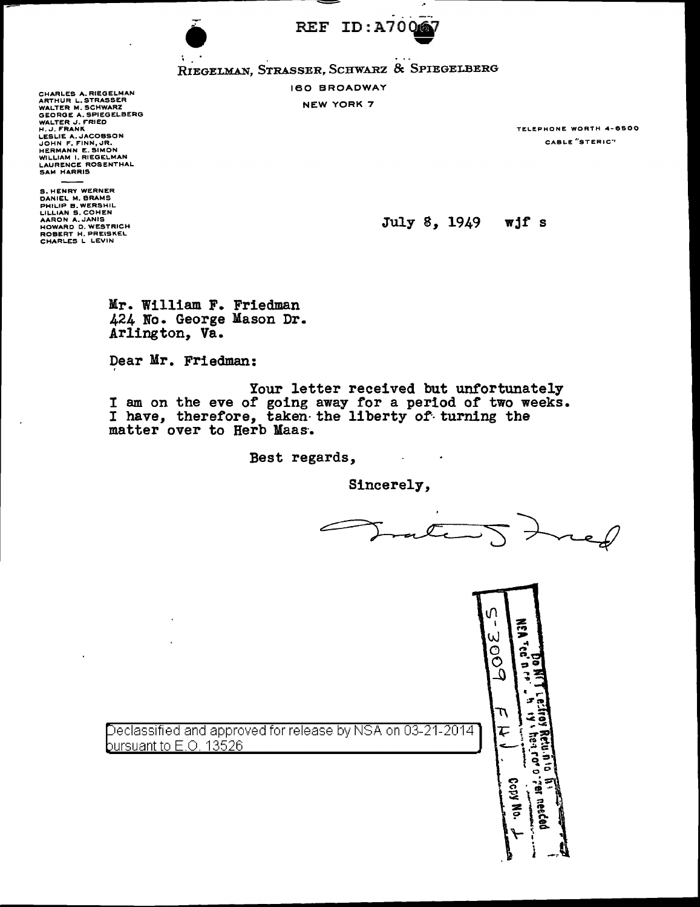

REF ID: A70067<br>Riegelman, Strasser, Schwarz & Spiegelberg

160 BROADWAY

NEW YORK 7

CHARLES A. RIEGELMAN<br>ARTHUR L. STRASSER<br>WALTER M. SCHWARZ<br>GEORGE A. SPIEGELBERG<br>WALTER J. FRANK LESLIE A. JACOBSON<br>JOHN F. FINN, JR.<br>HERMANN E. SIMON<br>WILLIAM I. RIEGELMAN<br>LAURENCE ROSENTHAL<br>SAM HARRIS

S. HENRY WERNER DANIEL M. BRAMS PHILIP B.WERSHIL<br>LILLIAN S.COHEN<br>AARON A.JANIS HOWARD D. WESTRICH ROBERT H. PREISKEL CHARLES L LEVIN

'

**TRLEPHONE WORTH 4-6500** CABLE "STERIC"

July 8, 1949 wjf s

Mr. William F. Friedman 424 No. George Mason Dr. Arlington, Va.

Dear Mr. Friedman:

Your letter received but unfortunately I am on the eve of going away for a period of two weeks. I have, therefore, taken-the liberty of turning the matter over to Herb Maas·.

Best regards,

Sincerely,

 $\sim 10^7$ 

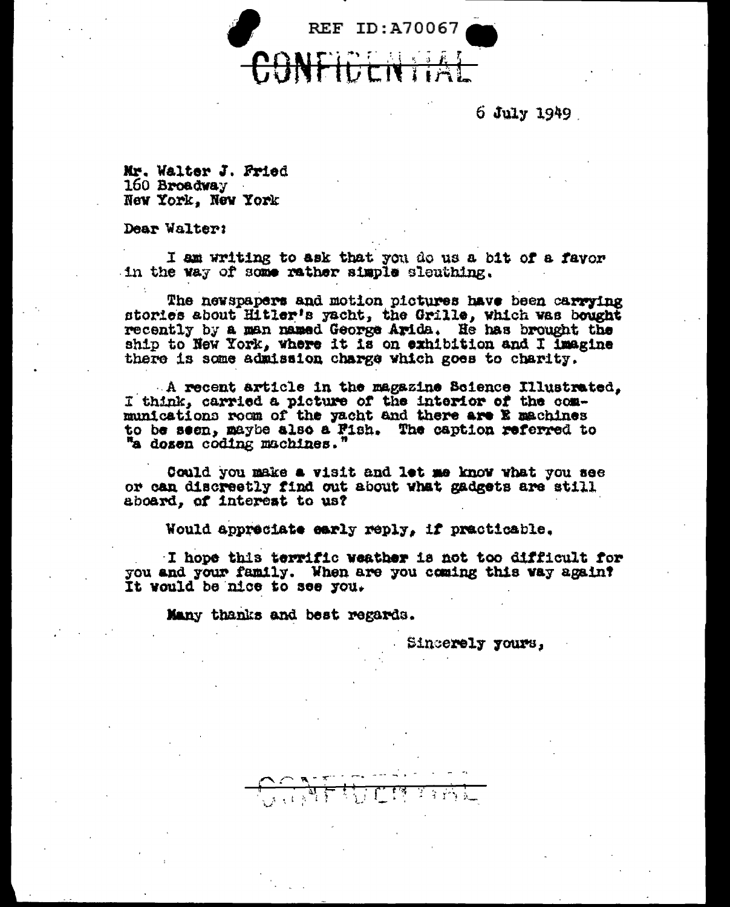

6 July 1949

Mr. Walter J. Fried 160 Broadway New York, New York

Dear Walter:

I am writing to ask that you do us a bit of a favor in the way of some rather simple sleuthing.

The newspapers and motion pictures have been carrying stories about Hitler's yacht, the Grille, which was bought recently by a man named George Arida. He has brought the ship to New York, where it is on exhibition and I imagine there is some admission charge which goes to charity.

A recent article in the magazine Beience Illustrated. I think, carried a picture of the interior of the communications room of the yacht and there are E machines to be seen, maybe also a Fish. The caption referred to "a dosen coding machines."

Could you make a visit and let me know what you see or can discreetly find out about what gadgets are still aboard, of interest to us?

Would appreciate early reply, if practicable.

I hope this terrific weather is not too difficult for you and your family. When are you coming this way again? It would be nice to see you.

Many thanks and best regards.

Sincerely yours,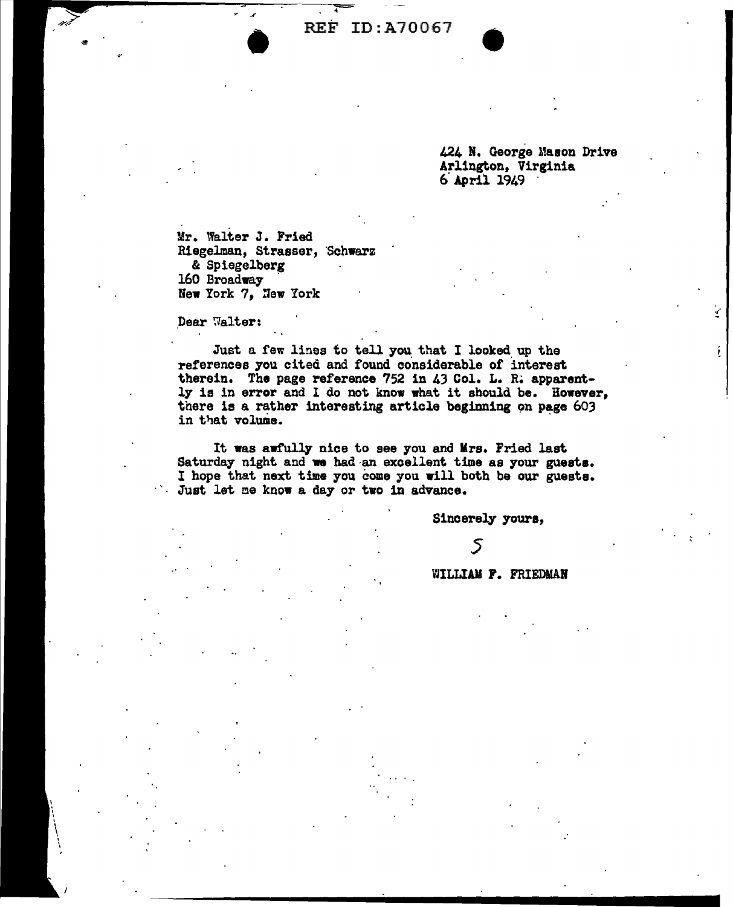REF ID:A70067

424 N. George Mason Drive Arlington, Virginia 6. April 1949 .

.,·

Mr. Walter J. Fried Riegelman, Strasser, 'Schwarz & Spiegelberg<br>160 Broadway New York 7, New York

.Dear 'Jalter:

Just a few lines to tell you that I looked up the references you cited and found considerable of interest therein. The page reference 752 in 43 Col. L. R. apparent-<br>ly is in error and I do not know what it should be. However, there is a rather interesting article beginning on page  $603$ in that volume.

It was awfully nice to see you and Mrs. Fried last Saturday night and we had an excellent time as your guests. I hope that next time you come you will both be our guests. Just let me know a day or two in advance.

Sincerely youra,

5

WILLIAM F. FRIEDMAN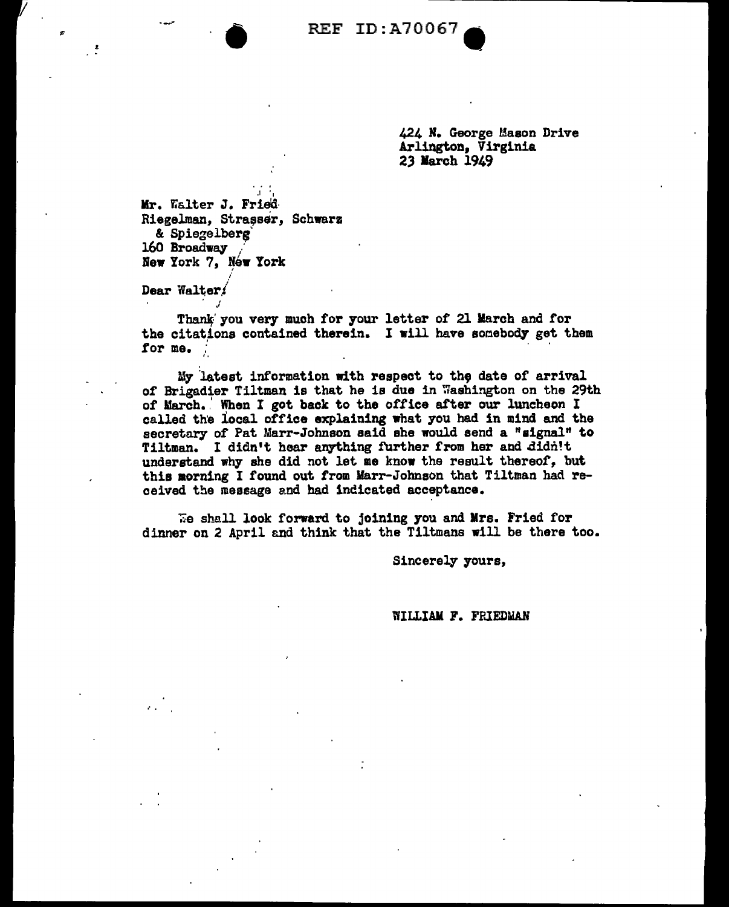$\sum_{i=1}^{n}$  REF ID:A70067

424 H. George Mason Drive Arlington, Virginia 23 larch 1949

.I '1 Mr. Walter J. Fried Riegelman, Strasser, Schwarz<br>& Spiegelberg 160 Broadway New York 7, New York ;

Dear Walter.

...

•'

Thank' you very much for your letter of 21 March and for the citations contained therein. I will have sonebody get them<br>for me. for me.  $\frac{1}{2}$ 

My latest information with respect to the date of arrival of Brigadier Tiltman is that he is due in Washington on the 29th of March. When I got back to the office after our luncheon I called the local office explaining what you had in mind and the secretary of Pat Marr-Johnson said she would send a "signal" to Tiltman. I didn't hear anything further from her and didn't understand why she did not let me know the result thereof, but this aorning I found out from Marr-Johnson that Tiltman had received the message and had indicated acceptance.

We shall look forward to joining you and Mrs. Fried for dinner on 2 April and think that the Tiltmans will be there too.

Sincerely yours,

WILLIAM F. FRIEDMAN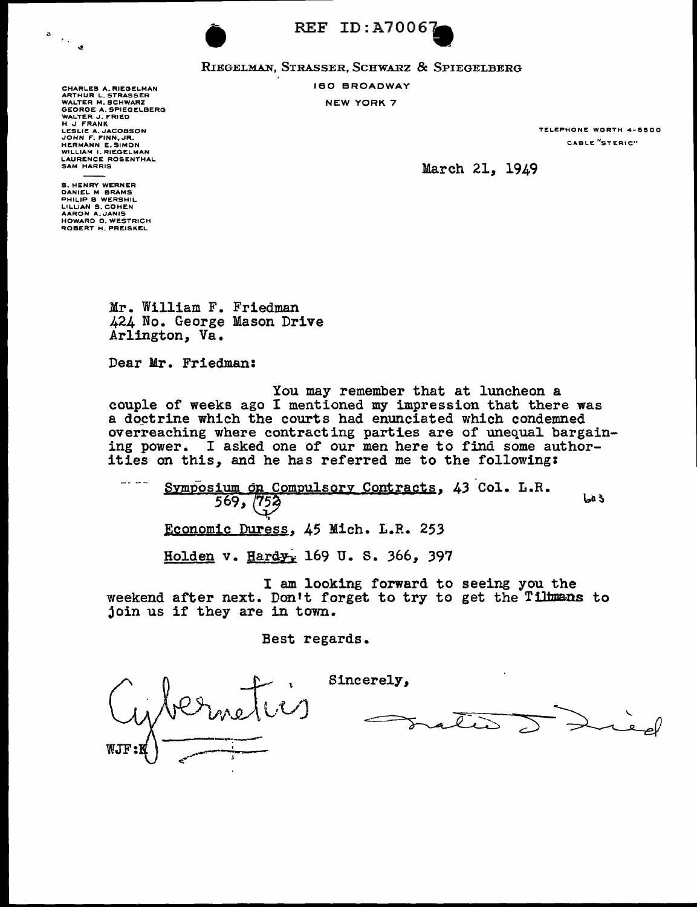





# REF ID:A70067<br>RIEGELMAN, STRASSER, SCHWARZ & SPIEGELBERG 160 BROADWAY

NEW YORK 7

CHARLES A. RIEGELMAN<br>ARTHUR L. STRASSER<br>WALTER M. SCHWARZ<br>WALTER J. FRIED<br>WALTER J. FRIED<br>H J. FRANK<br>LOHN F. FINN, JR.<br>JOHN F. FINN, JR. HERMANN E. SIMON WILLIAM I. RIEGELMAN LAURENCE ROSENTHAL

**TELEPHONE WORTH 4-6500 CABL.E <sup>11</sup>STERIC'"** 

March 21, 1949

S. HENRY WERNER<br>DANIEL M BRAMS<br>PHILIP B WERSHIL<br>LILLIAN S. COHEN<br>AARON A. JANIS<br>HOWARD D. WESTRICH<br>ROBERT H. PREISKEL

SAM HARRIS

Mr. William F. Friedman 424 No. George Mason Drive Arlington, Va.

Dear Mr. Friedman:

You may remember that at luncheon a couple of weeks ago I mentioned my impression that there was a doctrine which the courts had enunciated which condemned overreaching where contracting parties are of unequal bargaining power. I asked one of our men here to find some authorities on this, and he has referred me to the following:

للماجد المسر Symposium on Compulsory Contracts, 43 Col. L.R.  $569, (753)$ 3 فعا Economic Duress, 45 Mich. L.R. 253 Holden v. Hard $y<sub>r</sub>$  169 U. S. 366, 397

I am looking forward to seeing you the weekend after next. Don't forget to try to get the Tiltmans to join us if they are in town.

Sincerely,

Best regards.

----,---:------ '  $c_{\infty}$  ...

 $\rightarrow$ -~ *--;;=* ...... ,\_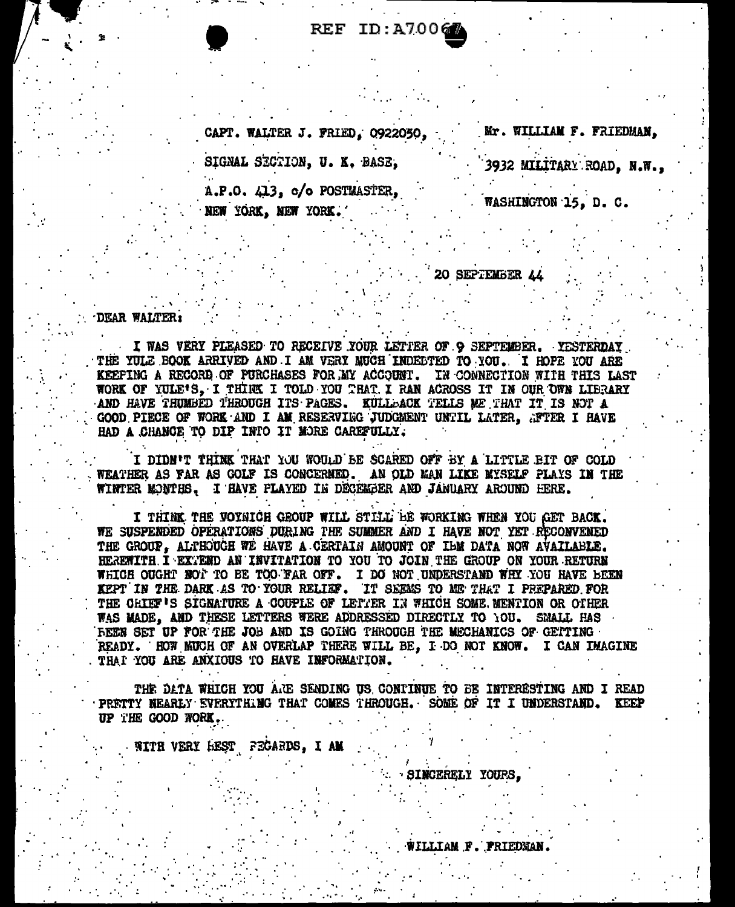REF ID:A7006

Mr. WILLIAM F. FRIEDMAN. CAPT. WALTER J. FRIED, 0922050, SIGNAL SECTION, U. K. BASE, 3932 MILITARY ROAD, N.W.,  $A.P.O. 413, c/o$  POSTMASTER, WASHINGTON 15, D. C. NEW YORK, NEW YORK.

20 SEPTEMBER 44

#### DEAR WALTER:

I WAS VERY PLEASED TO RECEIVE YOUR LETTER OF 9 SEPTEMBER. YESTERDAY THE YULE BOOK ARRIVED AND I AM VERY MUCH INDECTED TO YOU. I HOPE YOU ARE KEEPING A RECORD OF PURCHASES FOR MY ACCOUNT. IN CONNECTION WITH THIS LAST WORK OF YULE'S. I THINK I TOLD YOU THAT I RAN ACROSS IT IN OUR OWN LIBRARY AND HAVE THUMBED THROUGH ITS PAGES. KULLDACK TELLS ME THAT IT IS NOT A GOOD PIECE OF WORK AND I AM RESERVING JUDGMENT UNTIL LATER. AFTER I HAVE HAD A CHANCE TO DIP INTO IT MORE CAREFULLY.

I DIDN'T THINK THAT YOU WOULD BE SCARED OFF BY A LITTLE BIT OF COLD WEATHER AS FAR AS GOLF IS CONCERNED. AN OLD MAN LIKE MYSELF PLAYS IN THE WINTER MONTHS, I HAVE PLAYED IN DECEMBER AND JANUARY AROUND HERE.

I THINK THE VOYAICH GROUP WILL STILL BE WORKING WHEN YOU GET BACK. WE SUSPENDED OPERATIONS DURING THE SUMMER AND I HAVE NOT YET RECONVENED THE GROUP. ALTHOUGH WE HAVE A CERTAIN AMOUNT OF IBM DATA NOW AVAILABLE. HEREWITH I EXTEND AN INVITATION TO YOU TO JOIN THE GROUP ON YOUR RETURN WHICH OUGHT NOT TO BE TOO FAR OFF. I DO NOT UNDERSTAND WHY YOU HAVE BEEN KEPT IN THE DARK AS TO YOUR RELIEF. IT SEEMS TO ME THAT I PREPARED FOR THE CHIEF'S SIGNATURE A COUPLE OF LETTER IN WHICH SOME MENTION OR OTHER WAS MADE. AND THESE LETTERS WERE ADDRESSED DIRECTLY TO YOU. SMALL HAS FEEN SET UP FOR THE JOB AND IS GOING THROUGH THE MECHANICS OF GETTING READY. HOW MUCH OF AN OVERLAP THERE WILL BE. I DO NOT KNOW. I CAN IMAGINE THAT YOU ARE ANXIOUS TO HAVE INFORMATION.

THE DATA WHICH YOU ARE SENDING US CONTINUE TO BE INTERESTING AND I READ PRETTY NEARLY EVERYTHING THAT COMES THROUGH. SOME OF IT I UNDERSTAND. KEEP UP THE GOOD WORK.

WITH VERY HEST FEGARDS, I AM

: SINCERELY YOURS.

WILLIAM F. PRIEDMAN.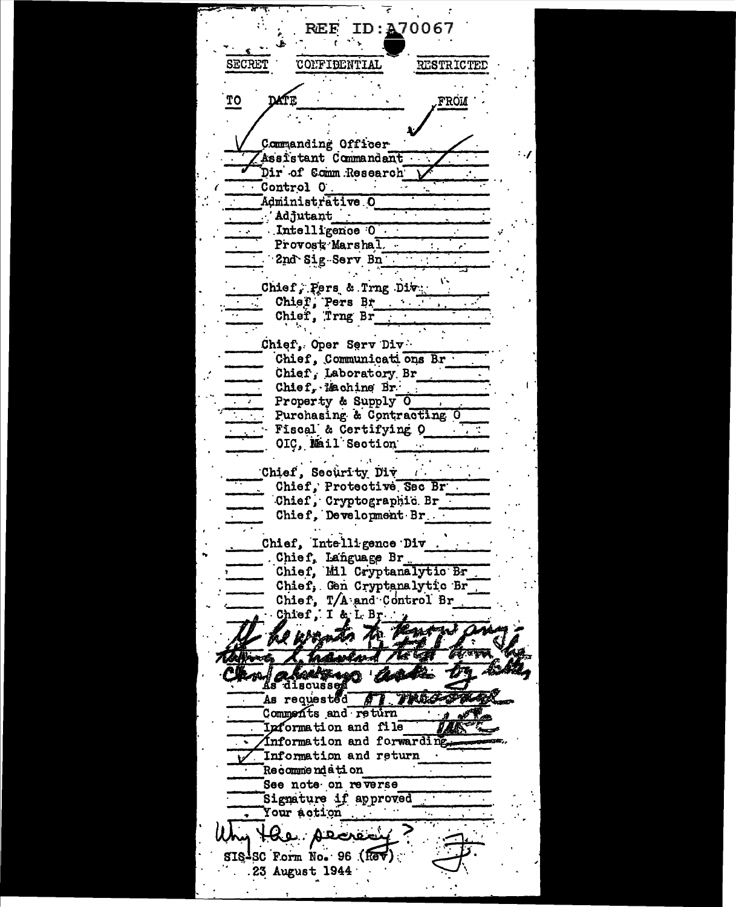REF ID: A70067 SECRET **CONFIDENTIAL RESTRICTED** TO **FROM** Commanding Officer Assistant Commandant Dir of Comm Research \ Control O. Administrative O  $'$ Adjutant $'$ Intelligence 0  $\frac{1}{2}$ Provost Marshal. 2nd Sig Serv Bn Chief, Pers & Trng Div. Chief, Pers Br  $\sim 100$  m  $^{-1}$ Chief, Trng Br Chief, Oper Serv Div Chief, Communications Br. Chief, Laboratory Br Chief, Machine Br. Property & Supply 0 Purchasing & Contracting O Fiscal & Certifying O OIC, Mail Section Chief, Security Div -11 Chief, Protective Sec Br . Chief, Cryptographic Br Chief, Development Br. Chief, Intelligence Div. Chief, Language Br Chief, Mil Cryptanalytic Br Chief, Gen Cryptanalytic Br Chief, T/A and Control Br Chief, I & L Br. adweard As discussed As requested of TRACS Comments and return Information and file Information and forwarding. Information and return **Recommendation** See note on reverse Signature if approved Your action Har. Alexie SIS-SC Form No. 96 (Re .23 August 1944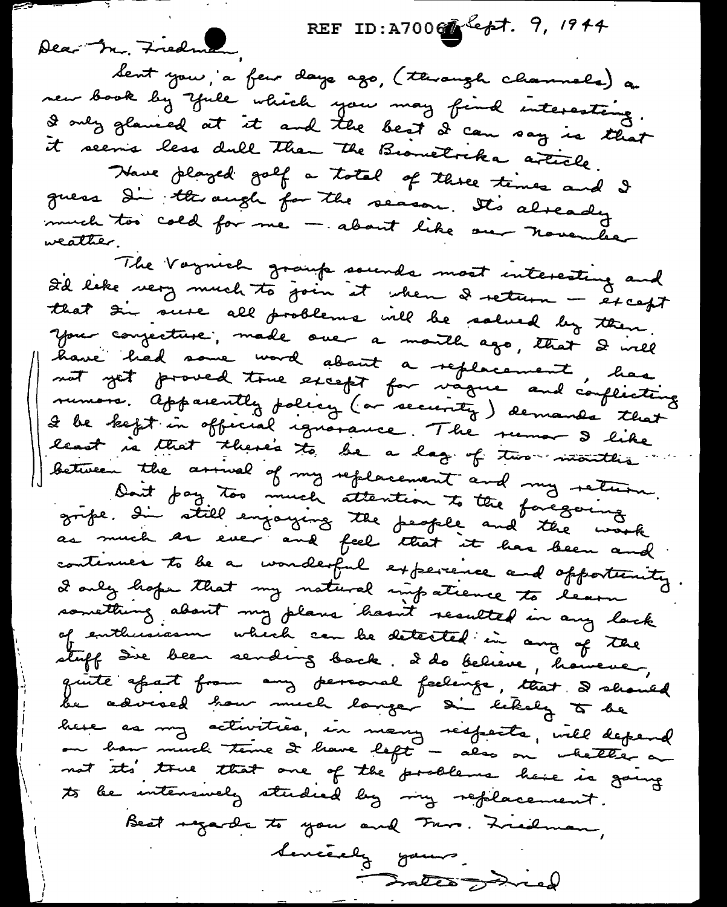REF ID: A7006 lept. 9, 1944

Dear Mr. Fredman, dent you, a feur days ago, (through channels) a new book by yule which you may find interesting. I only glanced at it and the best I can say is that it seems less dull than the Biometrika article.

Nowe played golf a total of three times and I guess di through for the season. It's already much too cold for me - about like our november weather.

The Vagnich group sounds most interesting and I'd like very much to join it when I return - except that the sure all problems will be salved by then your conjecture, made one a month ago, that I will have had some word about a replacement, has rumors. Apparently policy (or security) demands that I be kept in official ignorance. The runar I like least is that there's to be a lag of two intention between the arrival of my replacement and my return. Dont pay too much attention to the foregoing grife. In still enjoying the people and the work continues to be a wonderful experience and opportunity I only hope that my natural impatience to learn something about my plans hasn't resulted in any lack of enthusiasm which can be detected in any of the stuff die been sending back. I do believe, however, quite afait from any personal feelings, that I should be advised how much langer an lekely to be here as my activities, in many respects, will depend ou ban much teme de bave left - also on chette a not its true that one of the problems have is going to be intensuely studied by my replacement. Best regards to you and Fare. Freidman, Sencerely yours. Fractes Jones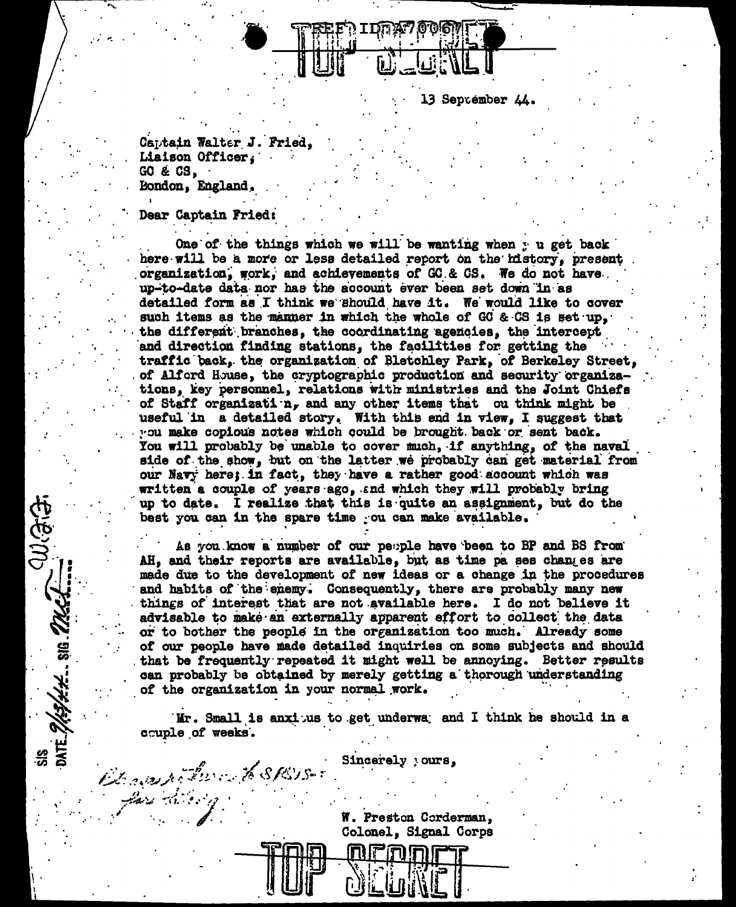

13 September 44.

Captain Walter J. Fried. Liaison Officer. GO & CS. Bondon, England,

Dear Captain Fried:

Brownston XSRSS.

Justifice

SIS 2/33/200 SIS 27/3/2 21/3 3/3

One of the things which we will be wanting when y u get back here will be a more or less detailed report on the history, present organization, work, and achievements of GC & CS. We do not have up-to-date data nor has the account ever been set down in as detailed form as I think we should have it. We would like to cover such items as the manner in which the whole of GC & CS is set up, the different branches, the coordinating agencies, the intercept and direction finding stations, the facilities for getting the traffic back, the organization of Bletchley Park, of Berkeley Street, of Alford House, the cryptographic production and security organizations, key personnel, relations with ministries and the Joint Chiefs of Staff organizati  $n_r$  and any other items that ou think might be useful in a detailed story. With this end in view, I suggest that you make copious notes which could be brought back or sent back. You will probably be unable to cover much, if anything, of the naval side of the show, but on the latter we probably can get material from our Navy here; in fact, they have a rather good account which was written a couple of years ago, and which they will probably bring up to date. I realize that this is quite an assignment, but do the best you can in the spare time ou can make available.

As you know a number of our people have been to BP and BS from AH, and their reports are available, but as time pa ses changes are made due to the development of new ideas or a change in the procedures and habits of the enemy. Consequently, there are probably many new things of interest that are not available here. I do not believe it advisable to make an externally apparent effort to collect the data or to bother the people in the organization too much. Already some of our people have made detailed inquiries on some subjects and should that be frequently repeated it might well be annoying. Better results can probably be obtained by merely getting a thorough understanding of the organization in your normal work.

Mr. Small is anxious to get underwa; and I think he should in a couple of weeks.

Sincerely yours,

W. Preston Corderman, Colonel, Signal Corps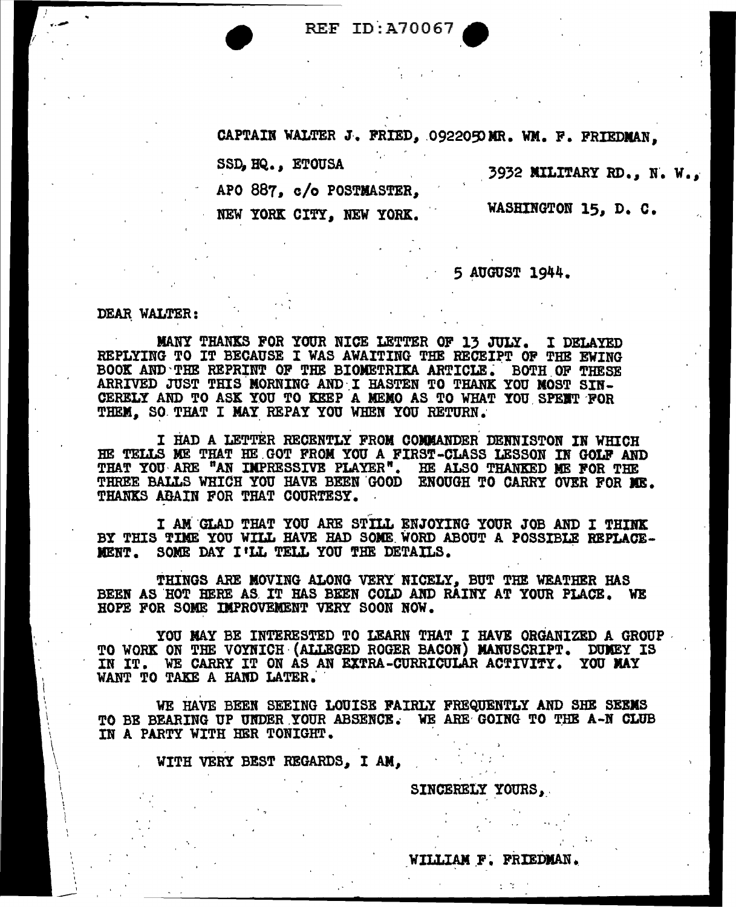REF ID:A70067

CAPTAIN WALTER J. FRIED, 0922050 MR. WM. F. FRIEDMAN,

SSD, HQ. *1* ETOUSA

3932 NILITARY RD., N. W.,

APO 887, c/o POSTMASTER,

NEW YORK CITY, NEW YORK.

WASHINGTON 15, D. C.

5 AUGUST 1944.

DEAR WALTER:

I ----

MANY THANKS FOR YOUR NICE LETTER OF 13 JULY. I DELAYED REPLYING TO IT BECAUSE I WAS AWAITING THE RECEIPT OP THE EWING BOOK AND THE REPRINT OF THE BIOMETRIKA ARTICLE. BOTH OF THESE ARRIVED JUST THIS MORNING AND I HASTEN TO THANK YOU MOST SIN-CERELY AND TO ASK YOU TO KEEP A MEMO AS TO WHAT YOU SPENT FOR THEM. SO THAT I MAY REPAY YOU WHEN YOU RETURN.

I HAD A LETTER RECENTLY FROM COMMANDER DENNISTON IN WHICH HE TELLS ME THAT HE GOT FROM YOU A FIRST-CLASS LESSON IN GOLF AND THAT YOU ARE "AN IMPRESSIVE PLAYER". HE ALSO THANKED ME FOR THE<br>THREE BALLS WHICH YOU HAVE BEEN GOOD ENOUGH TO CARRY OVER FOR ME. THANKS ABAIN FOR THAT COURTESY.

I AM GLAD THAT YOU ARE STILL ENJOYING YOUR JOB AND I THINK BY THIS TIME YOU WILL HAVE HAD SOME WORD ABOUT A POSSIBLE REPLACE-MENT. SOME DAY I'LL TELL YOU THE DETAILS.

THINGS ARE MOVING ALONG VERY NICELY, BUT THE WEATHER HAS BEEN AS HOT HERE AS IT HAS BEEN COLD AND RAINY AT YOUR PLACE. WE HOPE FOR SOME IMPROVEMENT VERY SOON NOW.

YOU MAY BE INTERESTED TO LEARN THAT I HAVE ORGANIZED A GROUP TO WORK ON THE VOYNICH (ALLEGED ROGER BACON) MANUSCRIPT. DUMEY IS IN IT. WE CARRY IT ON AS AN EXTRA-CURRICULAR ACTIVITY. YOU MAY WANT TO TAKE A HAND LATER.

WE HAVE BEEN SEEING LOUISE FAIRLY FREQUENTLY AND SHE SEEMS TO BE BEARING UP UNDER YOUR ABSENCE. WE ARE GOING TO THE A-N CLUB IN A PARTY WITH HER TONIGHT.

WITH VERY BEST REGARDS, I AM,

SINCERELY YOURS,

WILLIAM F. FRIEDMAN.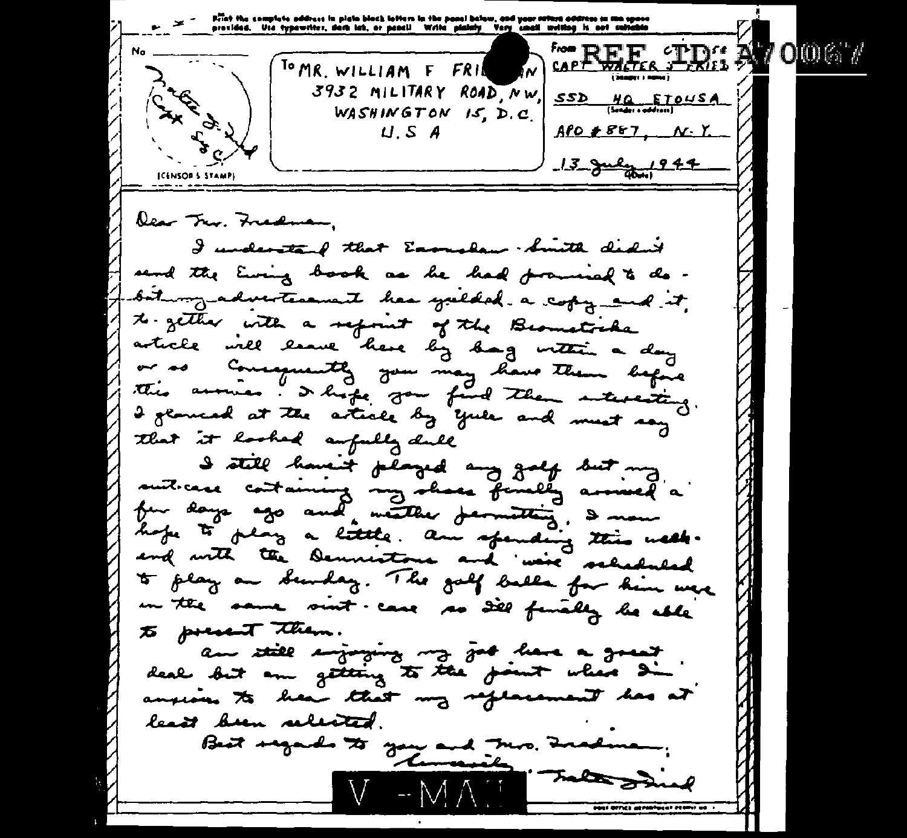Pilat the complete address in plata block letters in the panel balow, and your rathra address su ma space<br>provided. Use typewriter, dark lak, or peacl! Write plainly Very\_small writing is and antiable **EXECUTE: A OCCUPATION**  $\overline{\phantom{a}}$ TOMR. WILLIAM F Lake of N FRII 3932 MILITARY ROAD, NW.  $SSD$   $HQ$   $[3$   $HQ$   $HQ$   $HQ$ WASHINGTON IS, D.C.  $\mathcal{E}_{\mathcal{G}}$  $U.S.A$  $A f 0 + B f 7$ ,  $N \cdot Y$ 13 July 1944 ICENSOR'S STAMPS lear Try. Fredman. I understand that Earnslaw . Smith didn't send the Euring book as he had promised to do bit my advertisement has yulded a copy and it, to zether with a sepount of the Beamstreke article will leave here by hag within a day or as Consequently you may have them before this around . I hope you find them interesting I general at the article by yule and must say that it looked aufully dule I still haven't played any golf but my suit case containing my shace finally arrived a hope to play a little. am spending this week. and with the Democrations and we're scheduled to play an Sunday. The golf balls for him were in the same sint case so dill finally be able to present them. an still enjoying my job have a great deal but an getting to the point when die anxious to liear that my replacement has at least been reliefed. Best regards to you and This Inadena. "Tales wil V  $\rightarrow$  MATE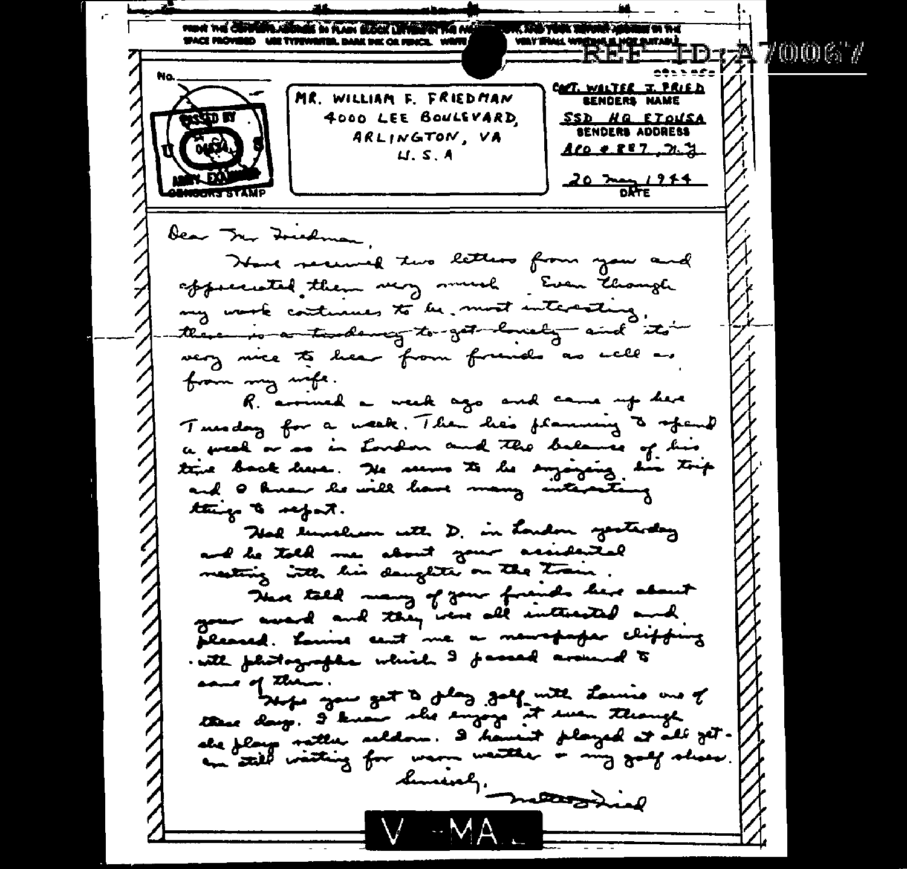FOOT THE CONTENT ASSAULT IN FLAN SLOCK LEVELET THE MAIL CO. AND THEN TERRITORY SPACE PROVIDED WIE TYPEWRITER, DARK IHK OR FEHICE, WRITE 2470067 MT WALTER T. PRIED MR. WILLIAM F. FRIEDMAN **SENDERS NAME Design W** 4000 LEE BOULEVARD SSD NO ETOUSA **BENDERS ADDRESS** ARLINGTON, VA  $A \, 0 \, 0 \, 0 \, 0$  $U.S.A$  $20 \frac{m}{6}$   $1211$ bear Trer Foredman, How secured two letters from your and apparented them very much . Even though my work continues to be, most interacting, there is a tasoloning to get housing and its very nice to hear from french as well as from my mps. R. arrived a week ago and came up here Tuesday for a week. Then he's planning & spend a great or so in London and the balance of his  $x_{\uparrow}$ ttire back here. He seems to be enjoying ستع and I know he will have many interacting things to refert. Nell luncher with D. in London yesterday and he told me about your assistanted meeting with his daughter on the train. Neve talk many of your friends here about your award and they were all interested and pleased. Louise cent me a newspaper clipping with photographs which I famed around to anno of them. the most of the galaxy with the wine one of these days. I know she sugays it sure though she flags nather relation. I haven't played at all fit. an still wathing for warm watther is my gody show. liming, material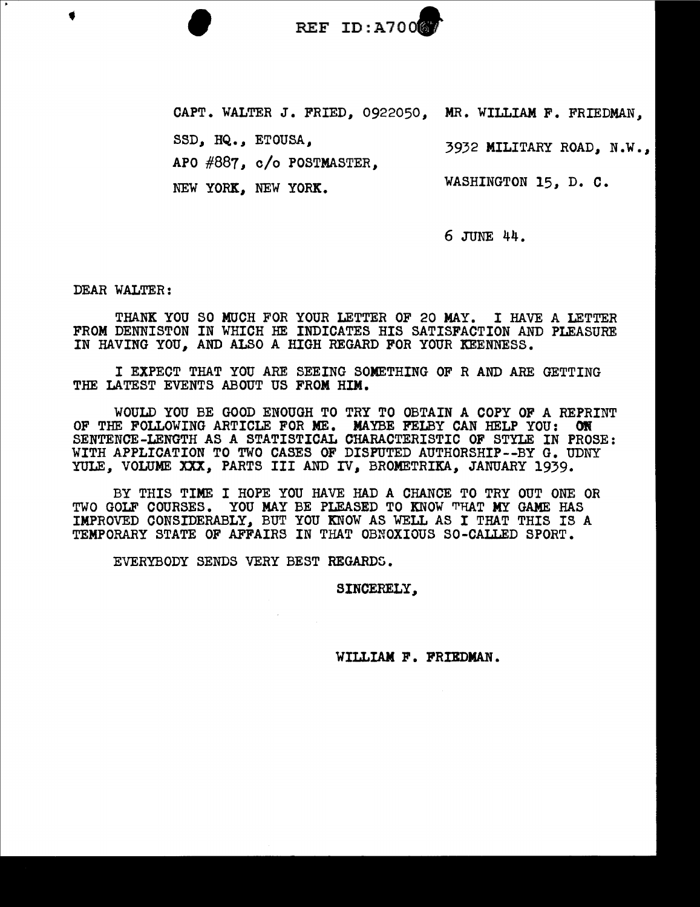

CAPT. WALTER J. FRIED, 0922050, MR. WILLIAM F. FRIEDMAN,

SSD, HQ., ETOUSA,

APO #887, c/o POSTMASTER,

NEW YORK, NEW YORK.

WASHINGTON 15, D. C.

3932 MILITARY ROAD, N.W.,

6 JUNE 44.

DEAR WALTER:

THANK YOU SO MUCH FOR YOUR LETTER OF 20 MAY. I HAVE A LETTER FROM DENNISTON IN WHICH HE INDICATES HIS SATISFACTION AND PLEASURE IN HAVING YOU, AND ALSO A HIGH REGARD FOR YOUR KEENNESS.

I EXPECT THAT YOU ARE SEEING SOMETHING OF R AND ARE GETTING THE LATEST EVENTS ABOUT US FROM HIM.

WOULD YOU BE GOOD ENOUGH TO TRY TO OBTAIN A COPY OF A REPRINT OF THE FOLLOWING ARTICLE FOR ME. MAYBE FELBY CAN HELP YOU: ON SENTENCE-LENGTH AS A STATISTICAL CHARACTERISTIC OF STYLE IN PROSE: WITH APPLICATION TO TWO CASES OF DISPUTED AUTHORSHIP--BY G. UDNY YULE. VOLUME XXX, PARTS III AND IV, BROMETRIKA, JANUARY 1939.

BY THIS TIME I HOPE YOU HAVE HAD A CHANCE TO TRY OUT ONE OR TWO GOLF COURSES. YOU MAY BE PLEASED TO KNOW THAT MY GAME HAS IMPROVED CONSIDERABLY, BUT YOU KNOW AS WELL AS I THAT THIS IS A TEMPORARY STATE OF AFFAIRS IN THAT OBNOXIOUS SO-CALLED SPORT.

EVERYBODY SENDS VERY BEST REGARDS.

SINCERELY,

WILLIAM F. FRIBDMAN.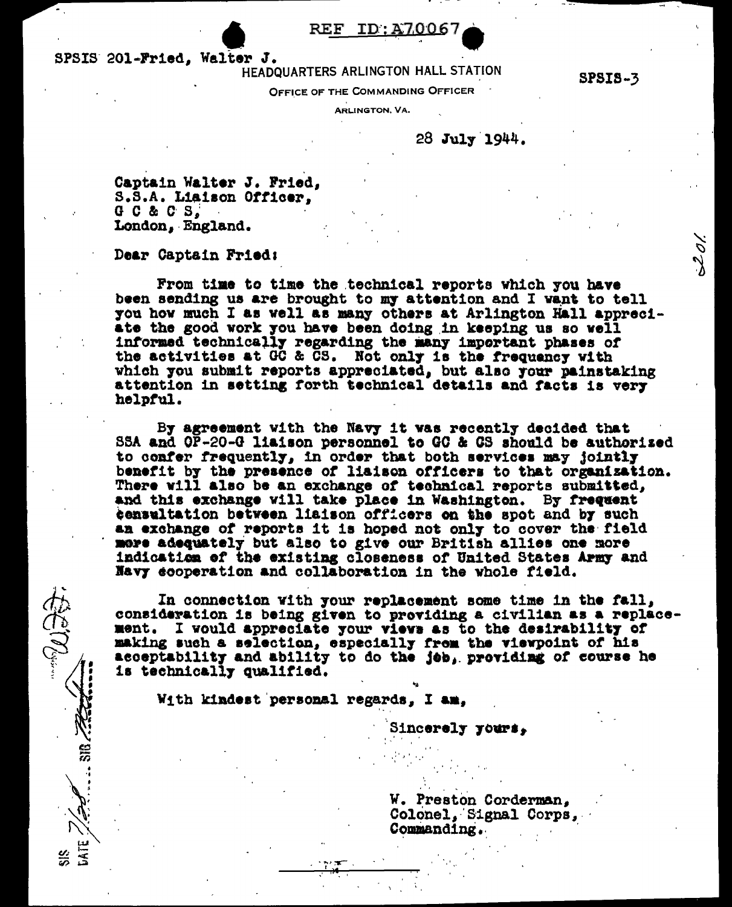### REF ID:A7006

SPSIS 201-Fried, Walter J.

HEADQUARTERS ARLINGTON HALL STATION

**SPSIS-3** 

 $20/$ 

OFFICE OF THE COMMANDING OFFICER

**ARLINGTON, VA.** 

28 July 1944.

Captain Walter J. Fried, S.S.A. Liaison Officer,  $G$   $C$   $\&$   $C$   $S$ , London, England.

Dear Captain Fried:

なんご

ិរី<br>-

From time to time the technical reports which you have been sending us are brought to my attention and I want to tell you how much I as well as many others at Arlington Hall appreciate the good work you have been doing in keeping us so well informed technically regarding the many important phases of the activities at GC & CS. Not only is the frequency with which you submit reports appreciated, but also your painstaking attention in setting forth technical details and facts is very helpful.

By agreement with the Navy it was recently decided that SSA and OP-20-G liaison personnel to GC & GS should be authorized to confer frequently, in order that both services may jointly benefit by the presence of lisison officers to that organization. There will also be an exchange of technical reports submitted, and this exchange vill take place in Washington. By frequent censultation between liaison officers on the spot and by such an exchange of reports it is hoped not only to cover the field more adequately but also to give our British allies one more indication of the existing closeness of United States Army and Navy ecoperation and collaboration in the whole field.

In connection with your replacement some time in the fall, consideration is being given to providing a civilian as a replacement. I would appreciate your views as to the desirability of making such a selection, especially from the viewpoint of his acceptability and ability to do the job, providing of course he is technically qualified.

With kindest personal regards, I am.

Sincerely yours,

W. Preston Corderman, Colonel, Signal Corps, Commanding.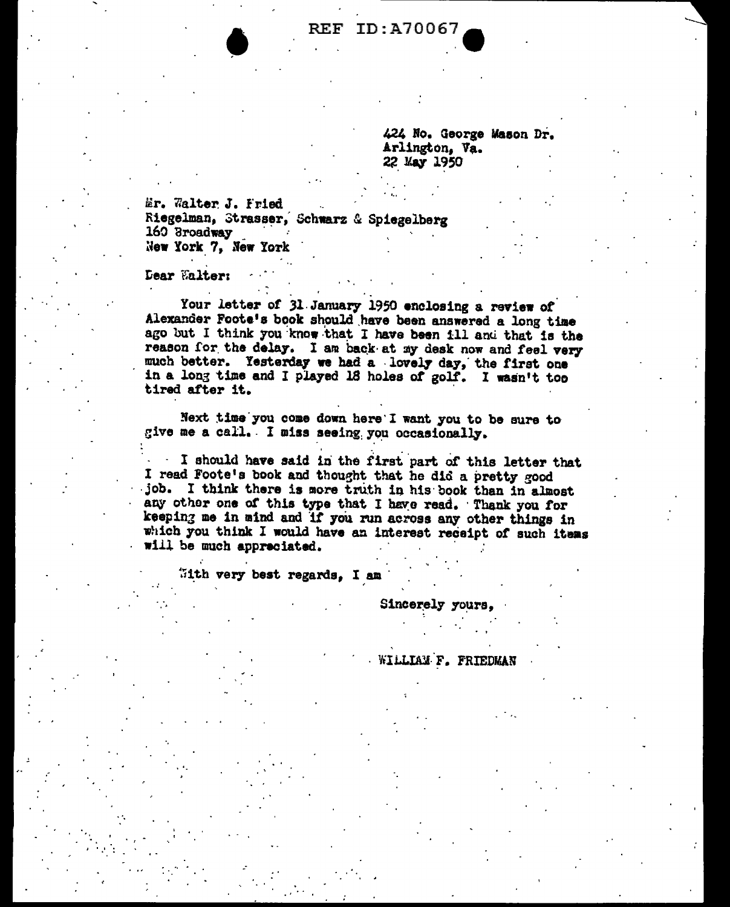ID:A70067 REF

> 424 No. George Mason Dr. Arlington, Va. 22 May 1950

Er. Walter J. Fried Riegelman, Strasser, Schwarz & Spiegelberg 160 Broadway New York 7, New York

**Dear Walter:** 

Your letter of 31 January 1950 enclosing a review of Alexander Foote's book should have been answered a long time ago but I think you know that I have been ill and that is the reason for the delay. I am back at my desk now and feel very much better. Yesterday we had a lovely day, the first one in a long time and I played 18 holes of golf. I wasn't too tired after it.

Next time you come down here I want you to be sure to give me a call. I miss seeing you occasionally.

I should have said in the first part of this letter that I read Foote's book and thought that he did a pretty good job. I think there is more truth in his book than in almost any other one of this type that I have read. Thank you for keeping me in mind and if you run across any other things in which you think I would have an interest receipt of such items will be much appreciated.

With very best regards, I am

Sincerely yours,

WILLIAM F. FRIEDMAN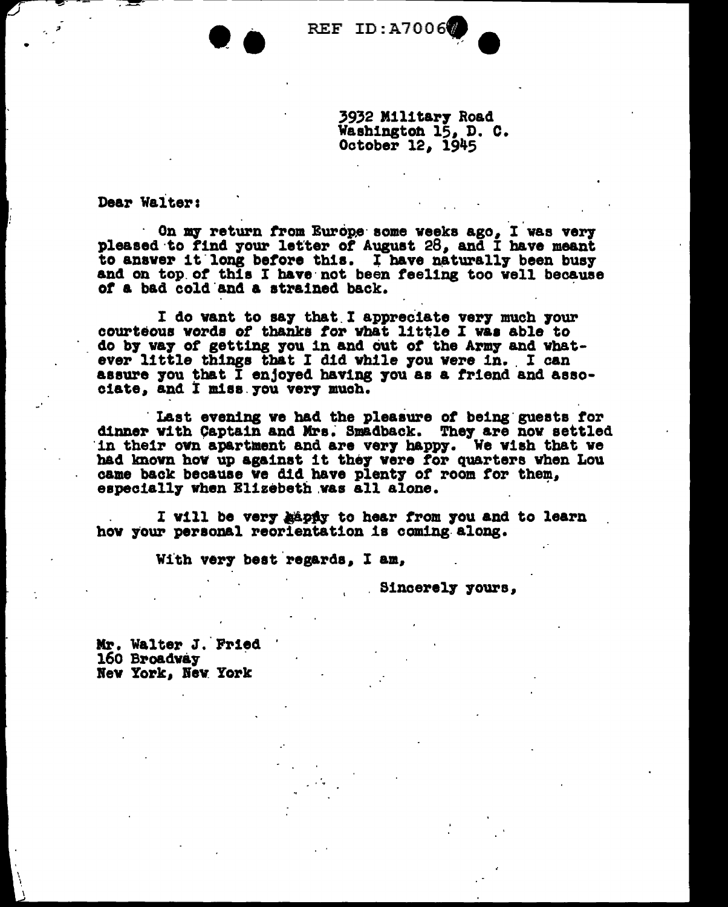REF ID:A7006

3932 Military Road Washington 15, D. C. October 12, 1945

Dear Walter:

On my return from Europe some weeks ago. I was very pleased to find your letter of August 28. and I have meant to answer it long before this. I have naturally been busy and on top of this I have not been feeling too well because of a bad cold and a strained back.

I do want to say that I appreciate very much your courteous words of thanks for what little I was able to do by way of getting you in and out of the Army and whatever little things that I did while you were in. I can assure you that I enjoyed having you as a friend and associate, and I miss you very much.

Last evening we had the pleasure of being guests for<br>dinner with Captain and Mrs. Smadback. They are now settled in their own apartment and are very happy. We wish that we had known how up against it they were for quarters when Lou came back because we did have plenty of room for them, especially when Elizebeth was all alone.

I will be very happy to hear from you and to learn how your personal reorientation is coming along.

With very best regards. I am.

Sincerely yours,

Mr. Walter J. Fried 160 Broadway New York, New York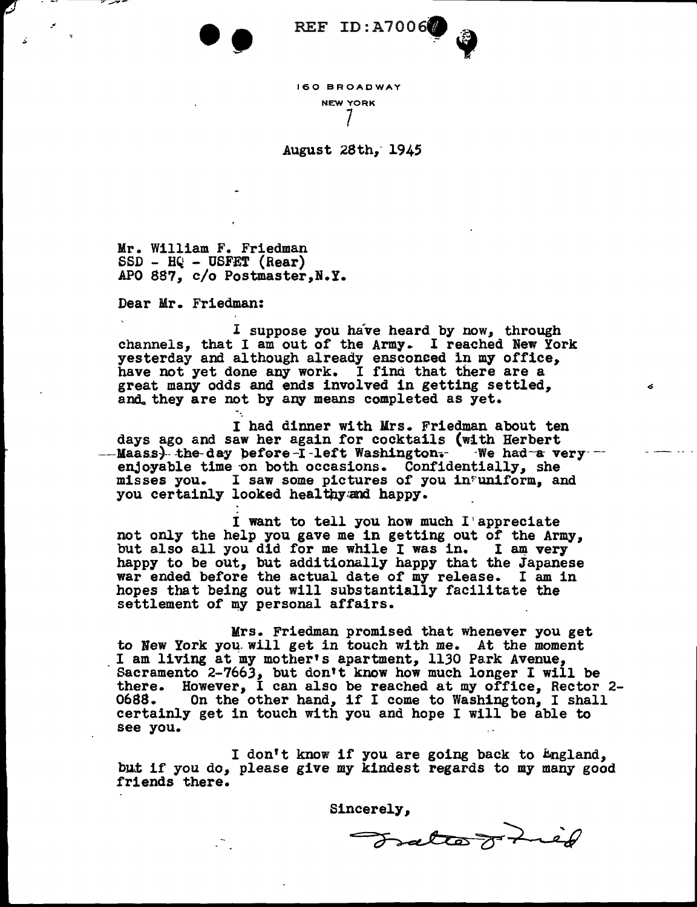

160 BROADWAY NEW YORK 7

August 28th, 1945

Mr. William F. Friedman<br>SSD - HQ - USFET (Rear) APO 887, c/o Postmaster, N.Y.

Dear Mr. Friedman:

I suppose you have heard by now, through channels, that I am out of the Army. I reached New York yesterday and although already ensconced in my office, have not yet done any work. I find that there are a great many odds and ends involved in getting settled, and, they are not by any means completed as yet.

I had dinner with Mrs. Friedman about ten days ago and saw her again for cocktails (with Herbert ---Maass)-the-day before-I-left Washington. We had-a very --<br>enjoyable time on both occasions. Confidentially, she misses you. I saw some pictures or you in?un1£orm, and you certainly looked healthy and happy.

I want to tell you how much I'appreciate<br>not only the help you gave me in getting out of the Army, but also all you did for me while I was in. I am very happy to be out, but additionally happy that the Japanese war ended before the actual date of my release. I am in hopes that being out will substantially facilitate the settlement of my personal affairs.

Mrs. Friedman promised that whenever you get to New York you will get in touch with me. At the moment I am living at my mother's apartment, 1130 Park Avenue, Sacramento  $2-7663$ , but don't know how much longer I will be there. However, I can also be reached at my office, Rector 2- 0688. On the other hand, if I come to Washington, I shall certainly get in touch with you and hope I will be able to see you.

I don't know if you are going back to England, I don't know it you are going back to engiand,<br>but if you do, please give my kindest regards to my many good<br>friends there.

Sincerely,

Tratte J Lied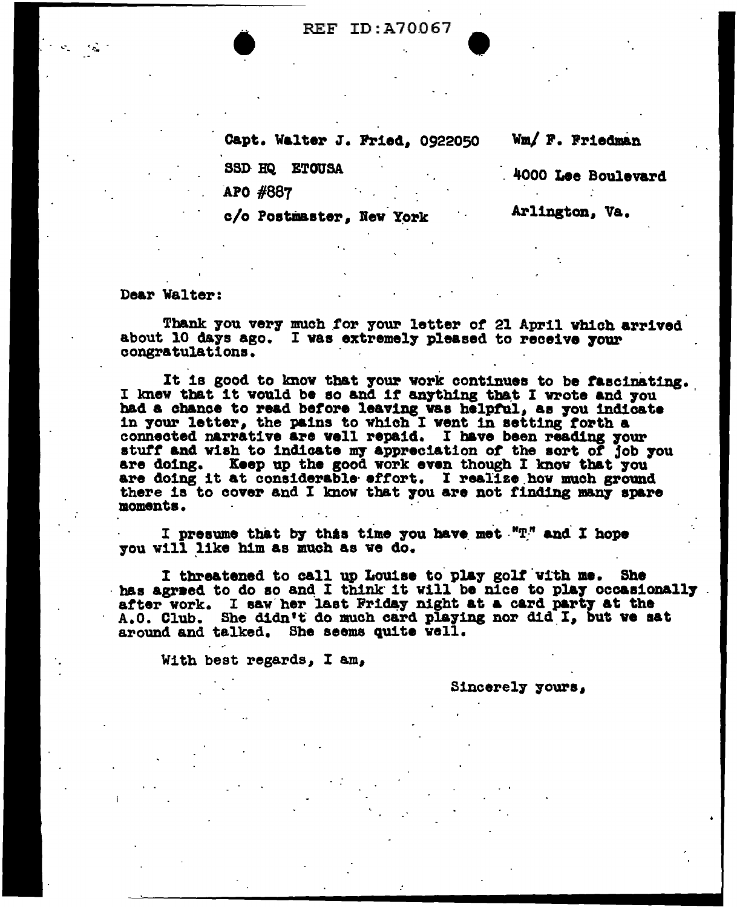**• REF ID:A70067 •** 

Capt. Walter J. Fried, 0922050 Wm/ F. Friedman

SSD HQ ETOUSA - 4000 Lee Boulevard

APO #887

c/o Postmaster, New York Arlington, Va.

Dear Walter:

Thank you very much for your letter of 21 April which arrived about 10 days ago. I was extremely pleased to receive your congratulations.

It is good to know that your work continues to be fascinating. I knew that it would be so and if anything that I wrote and you had a chance to read before leaving was helpful, as you indicate in your letter, the pains to which I went in setting forth a connected narrative are well repa14. I bave been reading 7our stutt and viah to indicate m7 appreciation *ot* the aort *ot* job 7ou are doing. Keep up the good work even though I know that you are doing it at considerable effort. I realize how much ground there is to cover and I know that you are not finding many spare moments.

I presume that by this time you have met  $"T$ ." and I hope you will like him as much as ve do.

I threatened to call up Louise to play golf with me. She has agreed to do so and I think it will be nice to play occasionally after work. I saw her last Friday night at a card party at the A.O. Club. She didn't do much card playing nor did I, but we sat around and talked. She seems quite vell.

With best regards, I am,

Sincerely yours,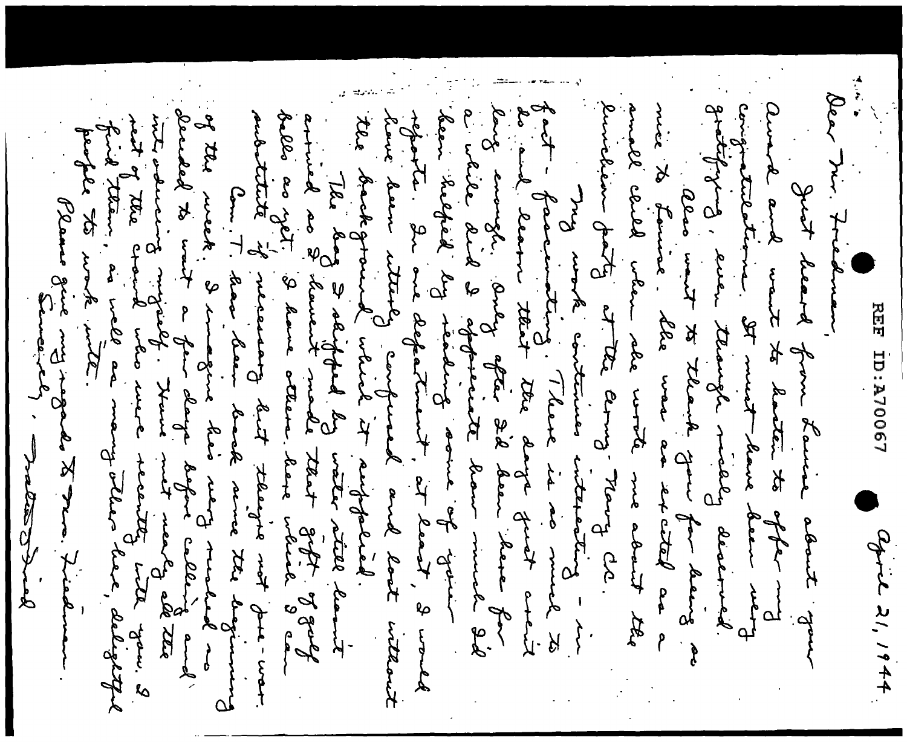法别 Bear Mir. Friedman, fout - facementing. There is a se much to<br>be and learn that the day from her for<br>leves emogle, dong ofter 2d door wuch for<br>door highed by doperate have much 2d<br>door highed by redeated in the start, 3 world<br>reports, 2n me d of the meek. I commezine heir vierty much de red and<br>decided to wait a few change before callery and a<br>with valuation the view met menty all the<br>high them, as well as many beller have, delighty emichem dats et the comp. Nans gratifigura, enen terangle mielle devermed. congratutations the must have dear went amed and want to hatter to also wont to the going for heirs<br>mix to hours ble was as so that as amall clubs when see worth me about the The day Indiped by water stall lamit<br>arrived as 2 dament made that zoft of zolf<br>hello as jot, 3 dame cteam have which I can<br>aubitute by necessary dat telenjie not pu-wor. hour doom utterly compured and look inteant people to work with of the content of the citer of Just leard from Lawie about you Com. T. have been back veries the beginning Plans gue my rogades to Frince REF ID:A70067 after mg agric 21, 1944  $\frac{5}{5}$  $-\frac{1}{2}$ stations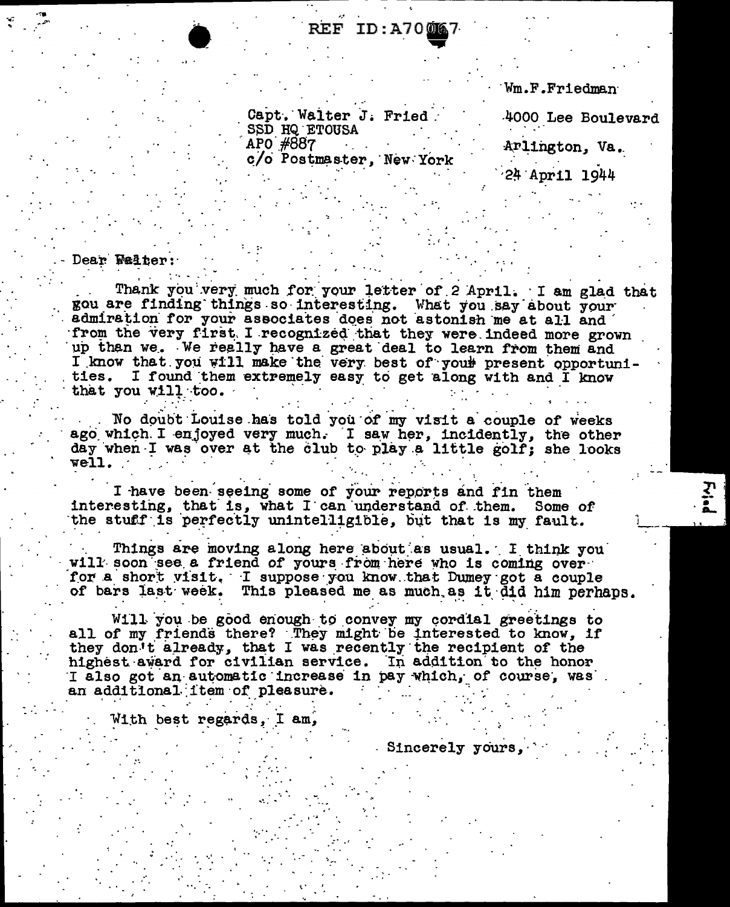## REF ID:A70<u>006</u>7

Wm.F.Friedman

Capt. Walter J. Fried. SSD HQ ETOUSA APO #887 c/o Postmaster, New York

4000 Lee Boulevard

Arlington, Va.

24 April 1944

#### Dear Walter:

Thank you very much for your letter of 2 April. I am glad that gou are finding things so interesting. What you say about your admiration for your associates does not astonish me at all and from the very first. I recognized that they were indeed more grown up than we. We really have a great deal to learn from them and I know that you will make the very best of your present opportunities. I found them extremely easy to get along with and I know that you will too.

No doubt Louise has told you of my visit a couple of weeks ago which I enjoyed very much. I saw her, incidently, the other day when I was over at the club to play a little golf; she looks well.

I have been seeing some of your reports and fin them interesting, that is, what I can understand of them. Some of the stuff is perfectly unintelligible, but that is my fault.

Things are moving along here about as usual. I think you will soon see a friend of yours from here who is coming over for a short visit. I suppose you know that Dumey got a couple of bars last week. This pleased me as much as it did him perhaps.

Will you be good enough to convey my cordial greetings to all of my friends there? They might be interested to know, if they don't already, that I was recently the recipient of the highest award for civilian service. In addition to the honor I also got an automatic increase in pay which, of course, was an additional item of pleasure.

With best regards, I am,

- Sincerely yours,